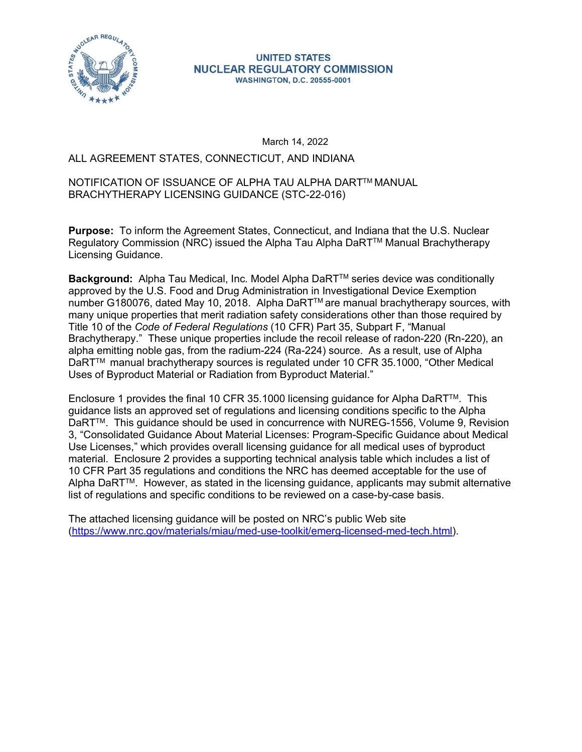

March 14, 2022

# UNITED STATES<br>
ALL AGREEMENT STATES, CONNECTICUT, AND INDIANA<br>
March 14, 2022<br>
ALL AGREEMENT STATES, CONNECTICUT, AND INDIANA<br>
March 14, 2022<br>
ALL AGREEMENT STATES, CONNECTICUT, AND INDIANA<br>
NOTIFICATION OF ISSUANCE OF ALP NOTIFICATION OF ISSUANCE OF ALPHA TAU ALPHA DARTTM MANUAL BRACHYTHERAPY LICENSING GUIDANCE (STC-22-016)

Purpose: To inform the Agreement States, Connecticut, and Indiana that the U.S. Nuclear Regulatory Commission (NRC) issued the Alpha Tau Alpha DaRT™ Manual Brachytherapy Licensing Guidance.

Background: Alpha Tau Medical, Inc. Model Alpha DaRT™ series device was conditionally approved by the U.S. Food and Drug Administration in Investigational Device Exemption number G180076, dated May 10, 2018. Alpha DaRT<sup>™</sup> are manual brachytherapy sources, with many unique properties that merit radiation safety considerations other than those required by Title 10 of the Code of Federal Regulations (10 CFR) Part 35, Subpart F, "Manual Brachytherapy." These unique properties include the recoil release of radon-220 (Rn-220), an alpha emitting noble gas, from the radium-224 (Ra-224) source. As a result, use of Alpha DaRTTM manual brachytherapy sources is regulated under 10 CFR 35.1000, "Other Medical Uses of Byproduct Material or Radiation from Byproduct Material."

Enclosure 1 provides the final 10 CFR 35.1000 licensing guidance for Alpha DaRTTM. This guidance lists an approved set of regulations and licensing conditions specific to the Alpha DaRTTM. This guidance should be used in concurrence with NUREG-1556, Volume 9, Revision 3, "Consolidated Guidance About Material Licenses: Program-Specific Guidance about Medical Use Licenses," which provides overall licensing guidance for all medical uses of byproduct material. Enclosure 2 provides a supporting technical analysis table which includes a list of 10 CFR Part 35 regulations and conditions the NRC has deemed acceptable for the use of Alpha DaRTTM. However, as stated in the licensing guidance, applicants may submit alternative list of regulations and specific conditions to be reviewed on a case-by-case basis.

The attached licensing guidance will be posted on NRC's public Web site (https://www.nrc.gov/materials/miau/med-use-toolkit/emerg-licensed-med-tech.html).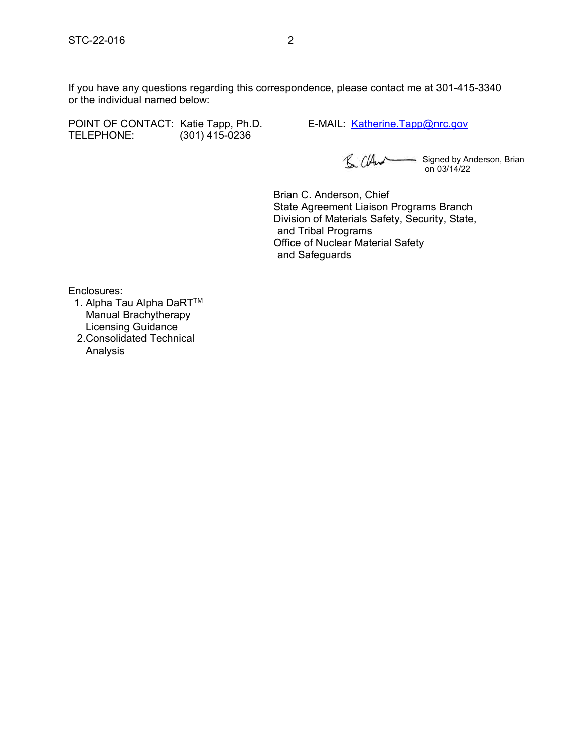STC-22-016<br>If you have any questions regarding this correspondence, please contact me at 301-415-3340<br>or the individual named below: If you have any questions regarding this correspondence, please contact me at 301-415-3340 or the individual named below: STC-22-016 2<br>
If you have any questions regarding this correspondence, please contact me at 301-415-3340<br>
or the individual named below:<br>
POINT OF CONTACT: Katie Tapp, Ph.D.<br>
E-MAIL: <u>Katherine.Tapp@nrc.gov</u><br>
E-MAIL: <u>Kath</u>

TELEPHONE: (301) 415-0236

Signed by Anderson, Brian on 03/14/22

Brian C. Anderson, Chief State Agreement Liaison Programs Branch Division of Materials Safety, Security, State, and Tribal Programs Office of Nuclear Material Safety and Safeguards

Enclosures:

1. Alpha Tau Alpha DaRT™ Manual Brachytherapy Licensing Guidance 2.Consolidated Technical

Analysis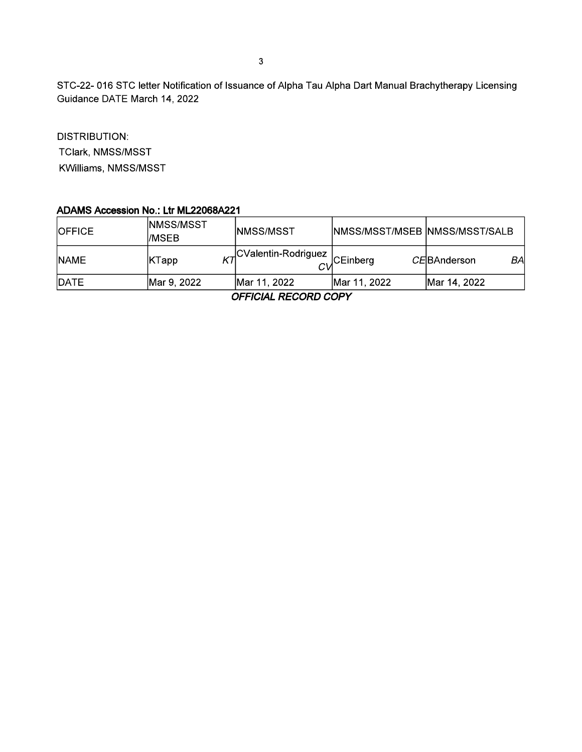STC-22-016 STC letter Notification of Issuance of Alpha Tau Alpha Dart Manual Brachytherapy Licensing Guidance DATE March 14, 2022

**DISTRIBUTION:** TClark, NMSS/MSST KWilliams, NMSS/MSST

#### ADAMS Accession No.: Ltr ML22068A221

| <b>IOFFICE</b> | INMSS/MSST<br>I/MSEB | INMSS/MSST           | <b>INMSS/MSST/MSEB INMSS/MSST/SALB</b> |                            |
|----------------|----------------------|----------------------|----------------------------------------|----------------------------|
| <b>NAME</b>    | KTapp                | _CValentin-Rodriguez | <b>CEinberg</b>                        | BAI<br><i>CE</i> BAnderson |
| <b>IDATE</b>   | Mar 9, 2022          | Mar 11, 2022         | Mar 11, 2022                           | Mar 14, 2022               |

**OFFICIAL RECORD COPY**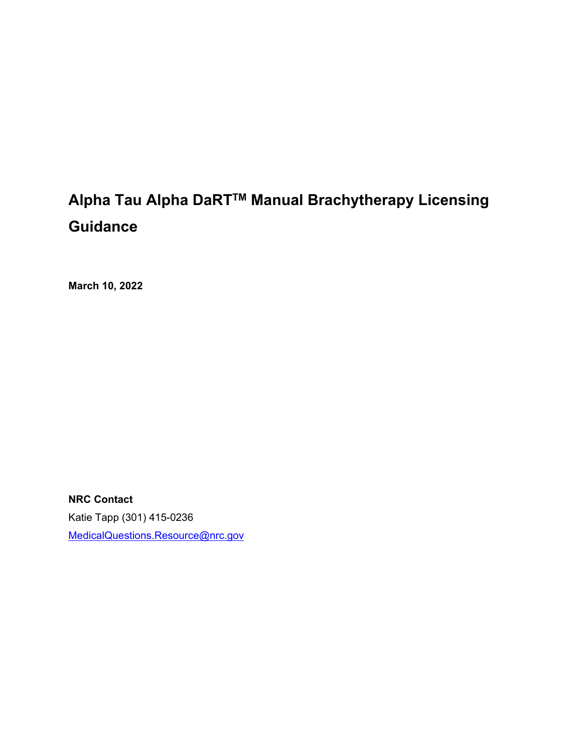# **Alpha Tau Alpha DaRTTM Manual Brachytherapy Licensing Guidance**

**March 10, 2022** 

**NRC Contact**  Katie Tapp (301) 415-0236 MedicalQuestions.Resource@nrc.gov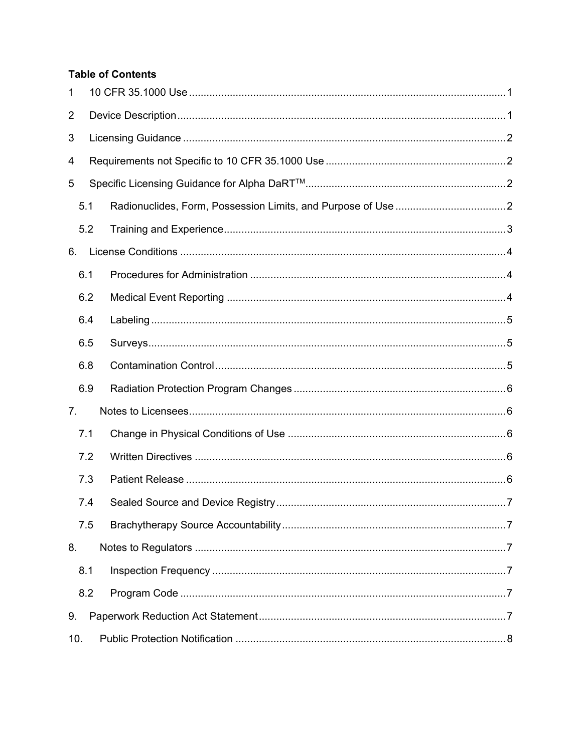#### **Table of Contents**

| 1   |     |  |
|-----|-----|--|
| 2   |     |  |
| 3   |     |  |
| 4   |     |  |
| 5   |     |  |
|     | 5.1 |  |
|     | 5.2 |  |
| 6.  |     |  |
|     | 6.1 |  |
|     | 6.2 |  |
|     | 6.4 |  |
|     | 6.5 |  |
|     | 6.8 |  |
|     | 6.9 |  |
| 7.  |     |  |
|     | 7.1 |  |
|     | 7.2 |  |
|     | 7.3 |  |
|     | 7.4 |  |
|     | 7.5 |  |
| 8.  |     |  |
|     | 8.1 |  |
|     | 8.2 |  |
| 9.  |     |  |
| 10. |     |  |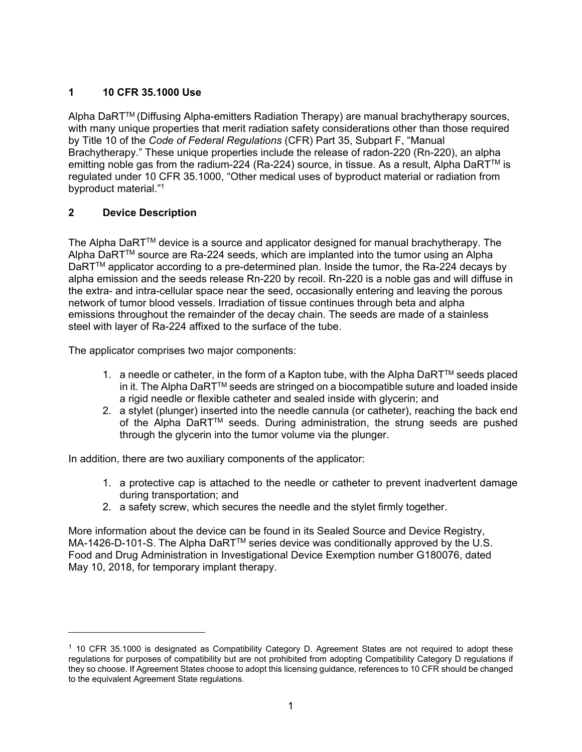#### **1 10 CFR 35.1000 Use**

Alpha DaRT<sup>™</sup> (Diffusing Alpha-emitters Radiation Therapy) are manual brachytherapy sources, with many unique properties that merit radiation safety considerations other than those required by Title 10 of the *Code of Federal Regulations* (CFR) Part 35, Subpart F, "Manual Brachytherapy." These unique properties include the release of radon-220 (Rn-220), an alpha emitting noble gas from the radium-224 (Ra-224) source, in tissue. As a result, Alpha DaRT™ is regulated under 10 CFR 35.1000, "Other medical uses of byproduct material or radiation from byproduct material."1

#### **2 Device Description**

 $\overline{a}$ 

The Alpha DaRT™ device is a source and applicator designed for manual brachytherapy. The Alpha DaRTTM source are Ra-224 seeds, which are implanted into the tumor using an Alpha DaRT<sup>™</sup> applicator according to a pre-determined plan. Inside the tumor, the Ra-224 decays by alpha emission and the seeds release Rn-220 by recoil. Rn-220 is a noble gas and will diffuse in the extra- and intra-cellular space near the seed, occasionally entering and leaving the porous network of tumor blood vessels. Irradiation of tissue continues through beta and alpha emissions throughout the remainder of the decay chain. The seeds are made of a stainless steel with layer of Ra-224 affixed to the surface of the tube.

The applicator comprises two major components:

- 1. a needle or catheter, in the form of a Kapton tube, with the Alpha DaRT<sup>TM</sup> seeds placed in it. The Alpha DaRTTM seeds are stringed on a biocompatible suture and loaded inside a rigid needle or flexible catheter and sealed inside with glycerin; and
- 2. a stylet (plunger) inserted into the needle cannula (or catheter), reaching the back end of the Alpha DaRT™ seeds. During administration, the strung seeds are pushed through the glycerin into the tumor volume via the plunger.

In addition, there are two auxiliary components of the applicator:

- 1. a protective cap is attached to the needle or catheter to prevent inadvertent damage during transportation; and
- 2. a safety screw, which secures the needle and the stylet firmly together.

More information about the device can be found in its Sealed Source and Device Registry, MA-1426-D-101-S. The Alpha DaRT™ series device was conditionally approved by the U.S. Food and Drug Administration in Investigational Device Exemption number G180076, dated May 10, 2018, for temporary implant therapy.

 $1$  10 CFR 35.1000 is designated as Compatibility Category D. Agreement States are not required to adopt these regulations for purposes of compatibility but are not prohibited from adopting Compatibility Category D regulations if they so choose. If Agreement States choose to adopt this licensing guidance, references to 10 CFR should be changed to the equivalent Agreement State regulations.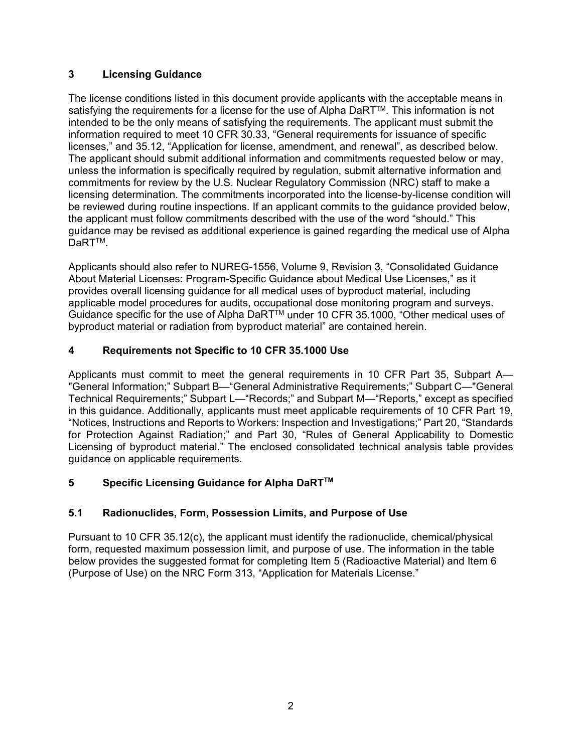#### **3 Licensing Guidance**

The license conditions listed in this document provide applicants with the acceptable means in satisfying the requirements for a license for the use of Alpha DaRT™. This information is not intended to be the only means of satisfying the requirements. The applicant must submit the information required to meet 10 CFR 30.33, "General requirements for issuance of specific licenses," and 35.12, "Application for license, amendment, and renewal", as described below. The applicant should submit additional information and commitments requested below or may, unless the information is specifically required by regulation, submit alternative information and commitments for review by the U.S. Nuclear Regulatory Commission (NRC) staff to make a licensing determination. The commitments incorporated into the license-by-license condition will be reviewed during routine inspections. If an applicant commits to the guidance provided below, the applicant must follow commitments described with the use of the word "should." This guidance may be revised as additional experience is gained regarding the medical use of Alpha DaRT<sup>™</sup>.

Applicants should also refer to NUREG-1556, Volume 9, Revision 3, "Consolidated Guidance About Material Licenses: Program-Specific Guidance about Medical Use Licenses," as it provides overall licensing guidance for all medical uses of byproduct material, including applicable model procedures for audits, occupational dose monitoring program and surveys. Guidance specific for the use of Alpha DaRT™ under 10 CFR 35.1000, "Other medical uses of byproduct material or radiation from byproduct material" are contained herein.

## **4 Requirements not Specific to 10 CFR 35.1000 Use**

Applicants must commit to meet the general requirements in 10 CFR Part 35, Subpart A— "General Information;" Subpart B—"General Administrative Requirements;" Subpart C—"General Technical Requirements;" Subpart L—"Records;" and Subpart M—"Reports," except as specified in this guidance. Additionally, applicants must meet applicable requirements of 10 CFR Part 19, "Notices, Instructions and Reports to Workers: Inspection and Investigations;" Part 20, "Standards for Protection Against Radiation;" and Part 30, "Rules of General Applicability to Domestic Licensing of byproduct material." The enclosed consolidated technical analysis table provides guidance on applicable requirements.

#### **5 Specific Licensing Guidance for Alpha DaRTTM**

## **5.1 Radionuclides, Form, Possession Limits, and Purpose of Use**

Pursuant to 10 CFR 35.12(c), the applicant must identify the radionuclide, chemical/physical form, requested maximum possession limit, and purpose of use. The information in the table below provides the suggested format for completing Item 5 (Radioactive Material) and Item 6 (Purpose of Use) on the NRC Form 313, "Application for Materials License."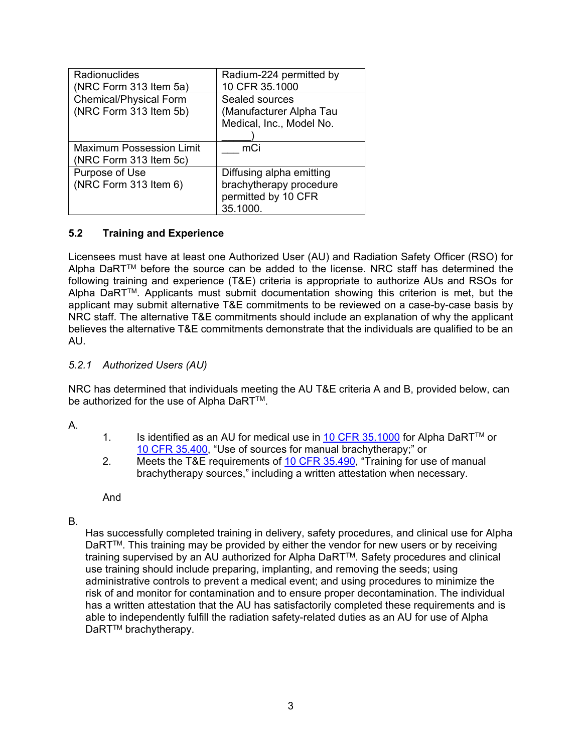| Radionuclides<br>(NRC Form 313 Item 5a)                 | Radium-224 permitted by<br>10 CFR 35.1000                                              |
|---------------------------------------------------------|----------------------------------------------------------------------------------------|
| <b>Chemical/Physical Form</b><br>(NRC Form 313 Item 5b) | Sealed sources<br>(Manufacturer Alpha Tau<br>Medical, Inc., Model No.                  |
| Maximum Possession Limit<br>(NRC Form 313 Item 5c)      | mCi                                                                                    |
| Purpose of Use<br>(NRC Form 313 Item 6)                 | Diffusing alpha emitting<br>brachytherapy procedure<br>permitted by 10 CFR<br>35.1000. |

#### **5.2 Training and Experience**

Licensees must have at least one Authorized User (AU) and Radiation Safety Officer (RSO) for Alpha DaRTTM before the source can be added to the license. NRC staff has determined the following training and experience (T&E) criteria is appropriate to authorize AUs and RSOs for Alpha DaRTTM. Applicants must submit documentation showing this criterion is met, but the applicant may submit alternative T&E commitments to be reviewed on a case-by-case basis by NRC staff. The alternative T&E commitments should include an explanation of why the applicant believes the alternative T&E commitments demonstrate that the individuals are qualified to be an AU.

#### *5.2.1 Authorized Users (AU)*

NRC has determined that individuals meeting the AU T&E criteria A and B, provided below, can be authorized for the use of Alpha DaRT™.

A.

- 1. Is identified as an AU for medical use in 10 CFR 35.1000 for Alpha DaRT<sup>TM</sup> or 10 CFR 35.400, "Use of sources for manual brachytherapy;" or
- 2. Meets the T&E requirements of 10 CFR 35.490, "Training for use of manual brachytherapy sources," including a written attestation when necessary.

And

#### B.

Has successfully completed training in delivery, safety procedures, and clinical use for Alpha DaRT<sup>™</sup>. This training may be provided by either the vendor for new users or by receiving training supervised by an AU authorized for Alpha DaRT™. Safety procedures and clinical use training should include preparing, implanting, and removing the seeds; using administrative controls to prevent a medical event; and using procedures to minimize the risk of and monitor for contamination and to ensure proper decontamination. The individual has a written attestation that the AU has satisfactorily completed these requirements and is able to independently fulfill the radiation safety-related duties as an AU for use of Alpha DaRT<sup>™</sup> brachytherapy.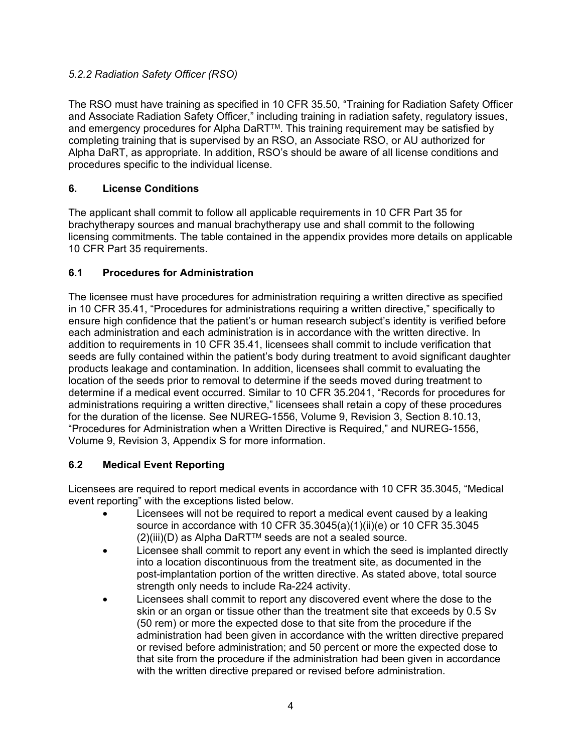#### *5.2.2 Radiation Safety Officer (RSO)*

The RSO must have training as specified in 10 CFR 35.50, "Training for Radiation Safety Officer and Associate Radiation Safety Officer," including training in radiation safety, regulatory issues, and emergency procedures for Alpha DaRT™. This training requirement may be satisfied by completing training that is supervised by an RSO, an Associate RSO, or AU authorized for Alpha DaRT, as appropriate. In addition, RSO's should be aware of all license conditions and procedures specific to the individual license.

#### **6. License Conditions**

The applicant shall commit to follow all applicable requirements in 10 CFR Part 35 for brachytherapy sources and manual brachytherapy use and shall commit to the following licensing commitments. The table contained in the appendix provides more details on applicable 10 CFR Part 35 requirements.

#### **6.1 Procedures for Administration**

The licensee must have procedures for administration requiring a written directive as specified in 10 CFR 35.41, "Procedures for administrations requiring a written directive," specifically to ensure high confidence that the patient's or human research subject's identity is verified before each administration and each administration is in accordance with the written directive. In addition to requirements in 10 CFR 35.41, licensees shall commit to include verification that seeds are fully contained within the patient's body during treatment to avoid significant daughter products leakage and contamination. In addition, licensees shall commit to evaluating the location of the seeds prior to removal to determine if the seeds moved during treatment to determine if a medical event occurred. Similar to 10 CFR 35.2041, "Records for procedures for administrations requiring a written directive," licensees shall retain a copy of these procedures for the duration of the license. See NUREG-1556, Volume 9, Revision 3, Section 8.10.13, "Procedures for Administration when a Written Directive is Required," and NUREG-1556, Volume 9, Revision 3, Appendix S for more information.

#### **6.2 Medical Event Reporting**

Licensees are required to report medical events in accordance with 10 CFR 35.3045, "Medical event reporting" with the exceptions listed below.

- Licensees will not be required to report a medical event caused by a leaking source in accordance with 10 CFR 35.3045(a)(1)(ii)(e) or 10 CFR 35.3045  $(2)(iii)(D)$  as Alpha DaRT<sup>TM</sup> seeds are not a sealed source.
- Licensee shall commit to report any event in which the seed is implanted directly into a location discontinuous from the treatment site, as documented in the post-implantation portion of the written directive. As stated above, total source strength only needs to include Ra-224 activity.
- Licensees shall commit to report any discovered event where the dose to the skin or an organ or tissue other than the treatment site that exceeds by 0.5 Sv (50 rem) or more the expected dose to that site from the procedure if the administration had been given in accordance with the written directive prepared or revised before administration; and 50 percent or more the expected dose to that site from the procedure if the administration had been given in accordance with the written directive prepared or revised before administration.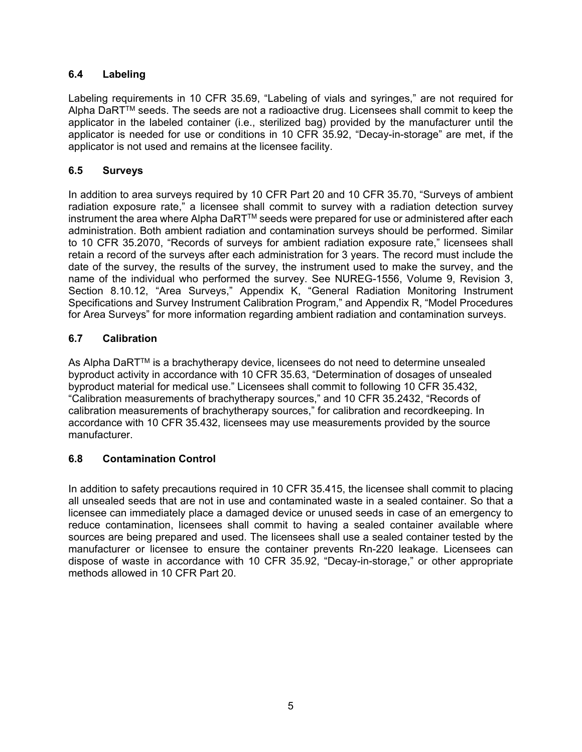#### **6.4 Labeling**

Labeling requirements in 10 CFR 35.69, "Labeling of vials and syringes," are not required for Alpha DaRT™ seeds. The seeds are not a radioactive drug. Licensees shall commit to keep the applicator in the labeled container (i.e., sterilized bag) provided by the manufacturer until the applicator is needed for use or conditions in 10 CFR 35.92, "Decay-in-storage" are met, if the applicator is not used and remains at the licensee facility.

#### **6.5 Surveys**

In addition to area surveys required by 10 CFR Part 20 and 10 CFR 35.70, "Surveys of ambient radiation exposure rate," a licensee shall commit to survey with a radiation detection survey instrument the area where Alpha DaRTTM seeds were prepared for use or administered after each administration. Both ambient radiation and contamination surveys should be performed. Similar to 10 CFR 35.2070, "Records of surveys for ambient radiation exposure rate," licensees shall retain a record of the surveys after each administration for 3 years. The record must include the date of the survey, the results of the survey, the instrument used to make the survey, and the name of the individual who performed the survey. See NUREG-1556, Volume 9, Revision 3, Section 8.10.12, "Area Surveys," Appendix K, "General Radiation Monitoring Instrument Specifications and Survey Instrument Calibration Program," and Appendix R, "Model Procedures for Area Surveys" for more information regarding ambient radiation and contamination surveys.

#### **6.7 Calibration**

As Alpha DaRT<sup>TM</sup> is a brachytherapy device, licensees do not need to determine unsealed byproduct activity in accordance with 10 CFR 35.63, "Determination of dosages of unsealed byproduct material for medical use." Licensees shall commit to following 10 CFR 35.432, "Calibration measurements of brachytherapy sources," and 10 CFR 35.2432, "Records of calibration measurements of brachytherapy sources," for calibration and recordkeeping. In accordance with 10 CFR 35.432, licensees may use measurements provided by the source manufacturer.

#### **6.8 Contamination Control**

In addition to safety precautions required in 10 CFR 35.415, the licensee shall commit to placing all unsealed seeds that are not in use and contaminated waste in a sealed container. So that a licensee can immediately place a damaged device or unused seeds in case of an emergency to reduce contamination, licensees shall commit to having a sealed container available where sources are being prepared and used. The licensees shall use a sealed container tested by the manufacturer or licensee to ensure the container prevents Rn-220 leakage. Licensees can dispose of waste in accordance with 10 CFR 35.92, "Decay-in-storage," or other appropriate methods allowed in 10 CFR Part 20.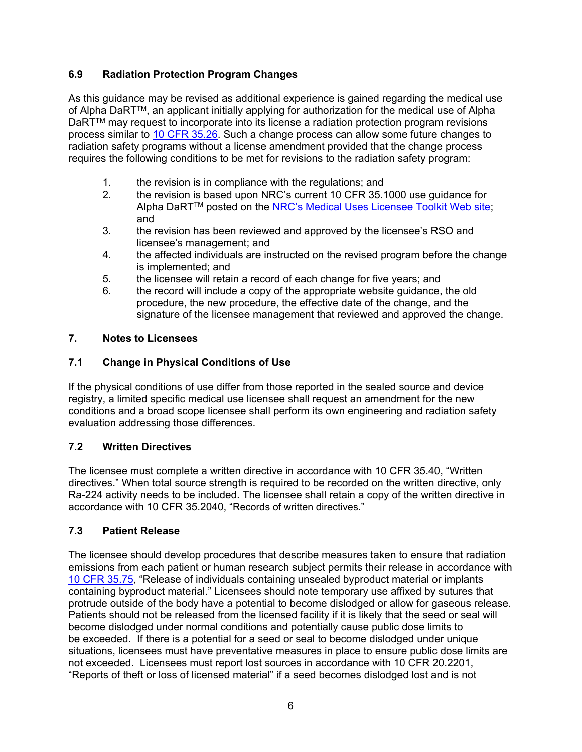#### **6.9 Radiation Protection Program Changes**

As this guidance may be revised as additional experience is gained regarding the medical use of Alpha DaRT™, an applicant initially applying for authorization for the medical use of Alpha DaRTTM may request to incorporate into its license a radiation protection program revisions process similar to 10 CFR 35.26. Such a change process can allow some future changes to radiation safety programs without a license amendment provided that the change process requires the following conditions to be met for revisions to the radiation safety program:

- 1. the revision is in compliance with the regulations; and
- 2. the revision is based upon NRC's current 10 CFR 35.1000 use guidance for Alpha DaRT<sup>™</sup> posted on the NRC's Medical Uses Licensee Toolkit Web site; and
- 3. the revision has been reviewed and approved by the licensee's RSO and licensee's management; and
- 4. the affected individuals are instructed on the revised program before the change is implemented; and
- 5. the licensee will retain a record of each change for five years; and
- 6. the record will include a copy of the appropriate website guidance, the old procedure, the new procedure, the effective date of the change, and the signature of the licensee management that reviewed and approved the change.

#### **7. Notes to Licensees**

#### **7.1 Change in Physical Conditions of Use**

If the physical conditions of use differ from those reported in the sealed source and device registry, a limited specific medical use licensee shall request an amendment for the new conditions and a broad scope licensee shall perform its own engineering and radiation safety evaluation addressing those differences.

#### **7.2 Written Directives**

The licensee must complete a written directive in accordance with 10 CFR 35.40, "Written directives." When total source strength is required to be recorded on the written directive, only Ra-224 activity needs to be included. The licensee shall retain a copy of the written directive in accordance with 10 CFR 35.2040, "Records of written directives."

#### **7.3 Patient Release**

The licensee should develop procedures that describe measures taken to ensure that radiation emissions from each patient or human research subject permits their release in accordance with 10 CFR 35.75, "Release of individuals containing unsealed byproduct material or implants containing byproduct material." Licensees should note temporary use affixed by sutures that protrude outside of the body have a potential to become dislodged or allow for gaseous release. Patients should not be released from the licensed facility if it is likely that the seed or seal will become dislodged under normal conditions and potentially cause public dose limits to be exceeded. If there is a potential for a seed or seal to become dislodged under unique situations, licensees must have preventative measures in place to ensure public dose limits are not exceeded. Licensees must report lost sources in accordance with 10 CFR 20.2201, "Reports of theft or loss of licensed material" if a seed becomes dislodged lost and is not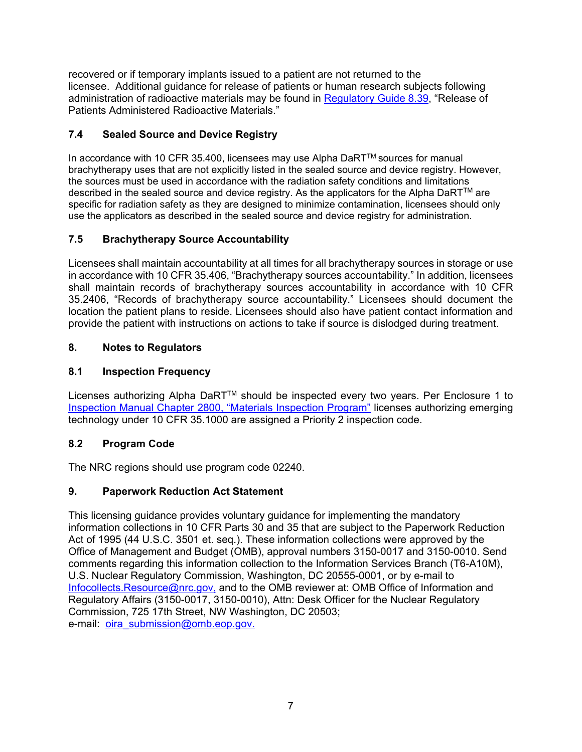recovered or if temporary implants issued to a patient are not returned to the licensee. Additional guidance for release of patients or human research subjects following administration of radioactive materials may be found in Regulatory Guide 8.39, "Release of Patients Administered Radioactive Materials."

#### **7.4 Sealed Source and Device Registry**

In accordance with 10 CFR 35.400, licensees may use Alpha DaRTTM sources for manual brachytherapy uses that are not explicitly listed in the sealed source and device registry. However, the sources must be used in accordance with the radiation safety conditions and limitations described in the sealed source and device registry. As the applicators for the Alpha DaRT™ are specific for radiation safety as they are designed to minimize contamination, licensees should only use the applicators as described in the sealed source and device registry for administration.

#### **7.5 Brachytherapy Source Accountability**

Licensees shall maintain accountability at all times for all brachytherapy sources in storage or use in accordance with 10 CFR 35.406, "Brachytherapy sources accountability." In addition, licensees shall maintain records of brachytherapy sources accountability in accordance with 10 CFR 35.2406, "Records of brachytherapy source accountability." Licensees should document the location the patient plans to reside. Licensees should also have patient contact information and provide the patient with instructions on actions to take if source is dislodged during treatment.

#### **8. Notes to Regulators**

#### **8.1 Inspection Frequency**

Licenses authorizing Alpha DaRTTM should be inspected every two years. Per Enclosure 1 to Inspection Manual Chapter 2800, "Materials Inspection Program" licenses authorizing emerging technology under 10 CFR 35.1000 are assigned a Priority 2 inspection code.

#### **8.2 Program Code**

The NRC regions should use program code 02240.

#### **9. Paperwork Reduction Act Statement**

This licensing guidance provides voluntary guidance for implementing the mandatory information collections in 10 CFR Parts 30 and 35 that are subject to the Paperwork Reduction Act of 1995 (44 U.S.C. 3501 et. seq.). These information collections were approved by the Office of Management and Budget (OMB), approval numbers 3150-0017 and 3150-0010. Send comments regarding this information collection to the Information Services Branch (T6-A10M), U.S. Nuclear Regulatory Commission, Washington, DC 20555-0001, or by e-mail to Infocollects.Resource@nrc.gov, and to the OMB reviewer at: OMB Office of Information and Regulatory Affairs (3150-0017, 3150-0010), Attn: Desk Officer for the Nuclear Regulatory Commission, 725 17th Street, NW Washington, DC 20503; e-mail: oira\_submission@omb.eop.gov.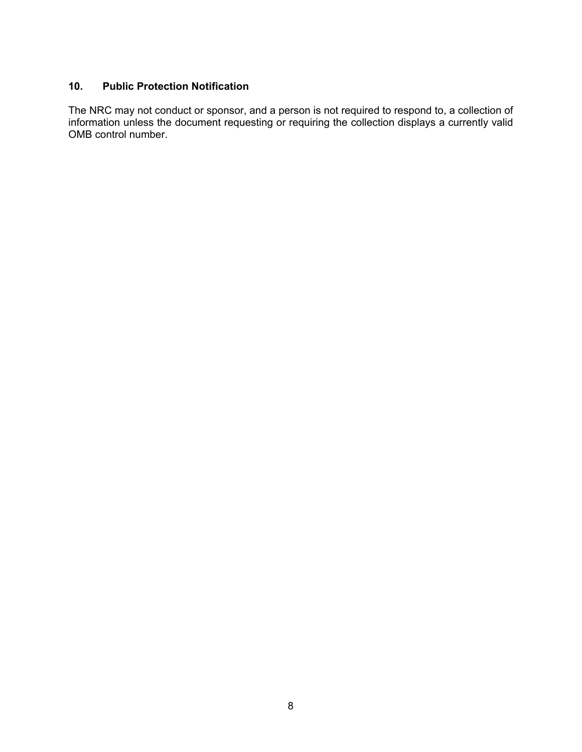#### **10. Public Protection Notification**

The NRC may not conduct or sponsor, and a person is not required to respond to, a collection of information unless the document requesting or requiring the collection displays a currently valid OMB control number.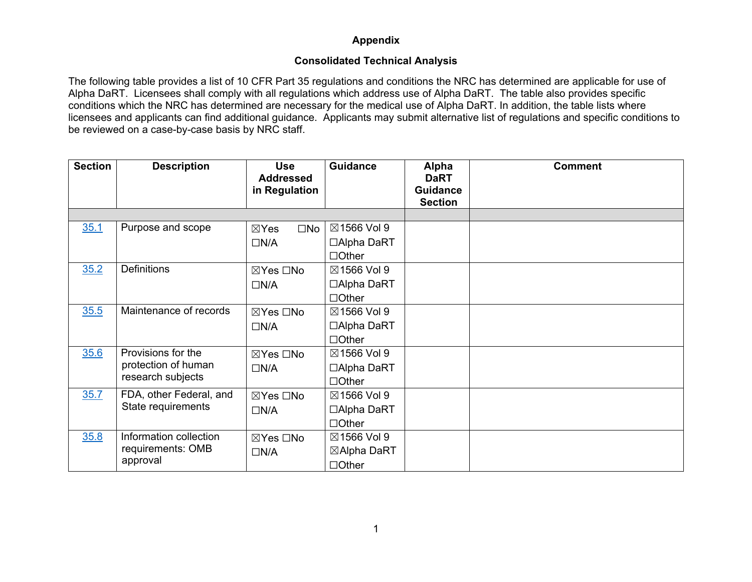#### **Consolidated Technical Analysis**

The following table provides a list of 10 CFR Part 35 regulations and conditions the NRC has determined are applicable for use of Alpha DaRT. Licensees shall comply with all regulations which address use of Alpha DaRT. The table also provides specific conditions which the NRC has determined are necessary for the medical use of Alpha DaRT. In addition, the table lists where licensees and applicants can find additional guidance. Applicants may submit alternative list of regulations and specific conditions to be reviewed on a case-by-case basis by NRC staff.

| <b>Section</b> | <b>Description</b>      | <b>Use</b><br><b>Addressed</b><br>in Regulation | <b>Guidance</b> | <b>Alpha</b><br><b>DaRT</b><br>Guidance<br><b>Section</b> | <b>Comment</b> |
|----------------|-------------------------|-------------------------------------------------|-----------------|-----------------------------------------------------------|----------------|
|                |                         |                                                 |                 |                                                           |                |
| 35.1           | Purpose and scope       | $\square$ No<br>$\boxtimes$ Yes                 | ⊠1566 Vol 9     |                                                           |                |
|                |                         | $\Box N/A$                                      | □Alpha DaRT     |                                                           |                |
|                |                         |                                                 | $\Box$ Other    |                                                           |                |
| 35.2           | <b>Definitions</b>      | ⊠Yes □No                                        | ⊠1566 Vol 9     |                                                           |                |
|                |                         | $\Box N/A$                                      | □Alpha DaRT     |                                                           |                |
|                |                         |                                                 | $\Box$ Other    |                                                           |                |
| 35.5           | Maintenance of records  | ⊠Yes □No                                        | ⊠1566 Vol 9     |                                                           |                |
|                |                         | $\Box N/A$                                      | □Alpha DaRT     |                                                           |                |
|                |                         |                                                 | $\Box$ Other    |                                                           |                |
| 35.6           | Provisions for the      | ⊠Yes □No                                        | ⊠1566 Vol 9     |                                                           |                |
|                | protection of human     | $\Box N/A$                                      | □Alpha DaRT     |                                                           |                |
|                | research subjects       |                                                 | $\Box$ Other    |                                                           |                |
| 35.7           | FDA, other Federal, and | ⊠Yes □No                                        | ⊠1566 Vol 9     |                                                           |                |
|                | State requirements      | $\Box N/A$                                      | □Alpha DaRT     |                                                           |                |
|                |                         |                                                 | $\Box$ Other    |                                                           |                |
| 35.8           | Information collection  | ⊠Yes □No                                        | ⊠1566 Vol 9     |                                                           |                |
|                | requirements: OMB       | $\Box N/A$                                      | ⊠Alpha DaRT     |                                                           |                |
|                | approval                |                                                 | $\Box$ Other    |                                                           |                |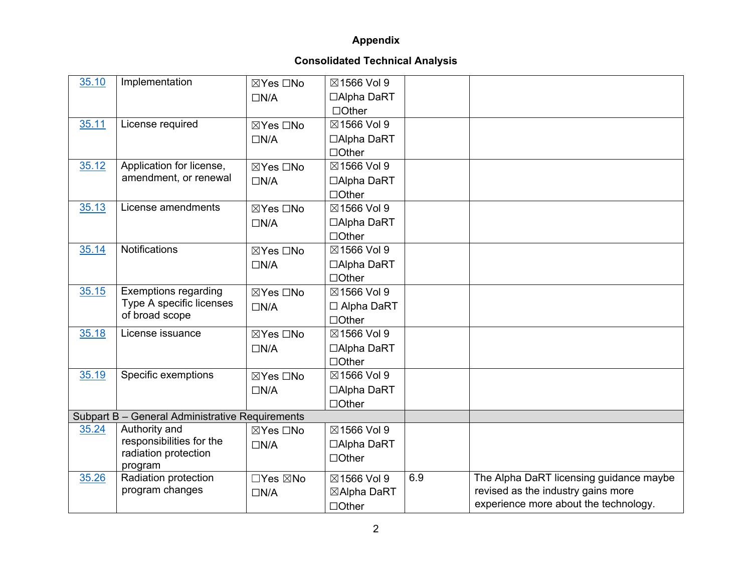| 35.10 | Implementation                                  | ⊠Yes □No   | ⊠1566 Vol 9  |     |                                         |
|-------|-------------------------------------------------|------------|--------------|-----|-----------------------------------------|
|       |                                                 | $\Box N/A$ | □Alpha DaRT  |     |                                         |
|       |                                                 |            | $\Box$ Other |     |                                         |
| 35.11 | License required                                | ⊠Yes □No   | ⊠1566 Vol 9  |     |                                         |
|       |                                                 | $\Box N/A$ | □Alpha DaRT  |     |                                         |
|       |                                                 |            | $\Box$ Other |     |                                         |
| 35.12 | Application for license,                        | ⊠Yes □No   | ⊠1566 Vol 9  |     |                                         |
|       | amendment, or renewal                           | $\Box N/A$ | □Alpha DaRT  |     |                                         |
|       |                                                 |            | $\Box$ Other |     |                                         |
| 35.13 | License amendments                              | ⊠Yes □No   | ⊠1566 Vol 9  |     |                                         |
|       |                                                 | $\Box N/A$ | □Alpha DaRT  |     |                                         |
|       |                                                 |            | $\Box$ Other |     |                                         |
| 35.14 | Notifications                                   | ⊠Yes □No   | ⊠1566 Vol 9  |     |                                         |
|       |                                                 | $\Box N/A$ | □Alpha DaRT  |     |                                         |
|       |                                                 |            | $\Box$ Other |     |                                         |
| 35.15 | <b>Exemptions regarding</b>                     | ⊠Yes □No   | ⊠1566 Vol 9  |     |                                         |
|       | Type A specific licenses                        | $\Box N/A$ | □ Alpha DaRT |     |                                         |
|       | of broad scope                                  |            | $\Box$ Other |     |                                         |
| 35.18 | License issuance                                | ⊠Yes □No   | ⊠1566 Vol 9  |     |                                         |
|       |                                                 | $\Box N/A$ | □Alpha DaRT  |     |                                         |
|       |                                                 |            | $\Box$ Other |     |                                         |
| 35.19 | Specific exemptions                             | ⊠Yes □No   | ⊠1566 Vol 9  |     |                                         |
|       |                                                 | $\Box N/A$ | □Alpha DaRT  |     |                                         |
|       |                                                 |            | $\Box$ Other |     |                                         |
|       | Subpart B - General Administrative Requirements |            |              |     |                                         |
| 35.24 | Authority and                                   | ⊠Yes □No   | ⊠1566 Vol 9  |     |                                         |
|       | responsibilities for the                        | $\Box N/A$ | □Alpha DaRT  |     |                                         |
|       | radiation protection<br>program                 |            | $\Box$ Other |     |                                         |
| 35.26 | Radiation protection                            | □Yes ⊠No   | ⊠1566 Vol 9  | 6.9 | The Alpha DaRT licensing guidance maybe |
|       | program changes                                 | $\Box N/A$ | ⊠Alpha DaRT  |     | revised as the industry gains more      |
|       |                                                 |            | $\Box$ Other |     | experience more about the technology.   |
|       |                                                 |            |              |     |                                         |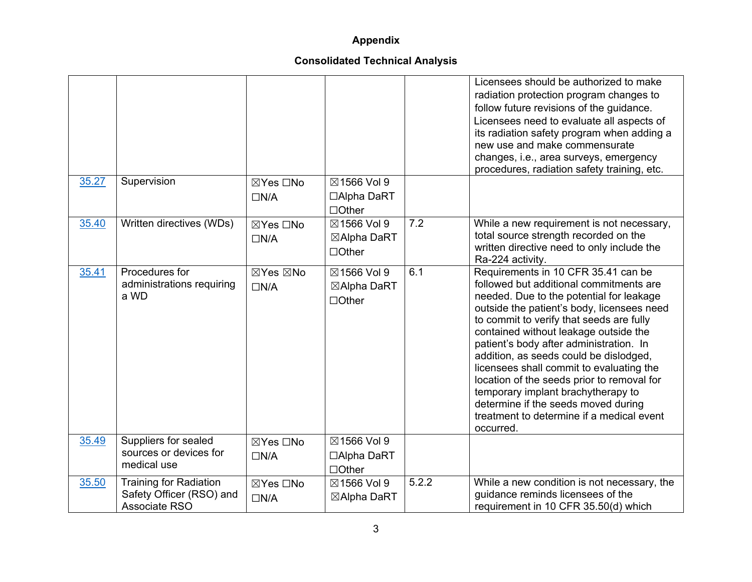|       |                                                                            |                        |                                            |       | Licensees should be authorized to make<br>radiation protection program changes to<br>follow future revisions of the guidance.<br>Licensees need to evaluate all aspects of<br>its radiation safety program when adding a<br>new use and make commensurate<br>changes, i.e., area surveys, emergency<br>procedures, radiation safety training, etc.                                                                                                                                                                                                                                  |
|-------|----------------------------------------------------------------------------|------------------------|--------------------------------------------|-------|-------------------------------------------------------------------------------------------------------------------------------------------------------------------------------------------------------------------------------------------------------------------------------------------------------------------------------------------------------------------------------------------------------------------------------------------------------------------------------------------------------------------------------------------------------------------------------------|
| 35.27 | Supervision                                                                | ⊠Yes □No<br>$\Box N/A$ | ⊠1566 Vol 9<br>□Alpha DaRT                 |       |                                                                                                                                                                                                                                                                                                                                                                                                                                                                                                                                                                                     |
|       |                                                                            |                        | $\Box$ Other                               |       |                                                                                                                                                                                                                                                                                                                                                                                                                                                                                                                                                                                     |
| 35.40 | Written directives (WDs)                                                   | ⊠Yes □No<br>$\Box N/A$ | ⊠1566 Vol 9<br>⊠Alpha DaRT<br>$\Box$ Other | 7.2   | While a new requirement is not necessary,<br>total source strength recorded on the<br>written directive need to only include the<br>Ra-224 activity.                                                                                                                                                                                                                                                                                                                                                                                                                                |
| 35.41 | Procedures for<br>administrations requiring<br>a WD                        | ⊠Yes ⊠No<br>$\Box N/A$ | ⊠1566 Vol 9<br>⊠Alpha DaRT<br>$\Box$ Other | 6.1   | Requirements in 10 CFR 35.41 can be<br>followed but additional commitments are<br>needed. Due to the potential for leakage<br>outside the patient's body, licensees need<br>to commit to verify that seeds are fully<br>contained without leakage outside the<br>patient's body after administration. In<br>addition, as seeds could be dislodged,<br>licensees shall commit to evaluating the<br>location of the seeds prior to removal for<br>temporary implant brachytherapy to<br>determine if the seeds moved during<br>treatment to determine if a medical event<br>occurred. |
| 35.49 | Suppliers for sealed<br>sources or devices for<br>medical use              | ⊠Yes □No<br>$\Box N/A$ | ⊠1566 Vol 9<br>□Alpha DaRT<br>$\Box$ Other |       |                                                                                                                                                                                                                                                                                                                                                                                                                                                                                                                                                                                     |
| 35.50 | <b>Training for Radiation</b><br>Safety Officer (RSO) and<br>Associate RSO | ⊠Yes □No<br>$\Box N/A$ | ⊠1566 Vol 9<br>⊠Alpha DaRT                 | 5.2.2 | While a new condition is not necessary, the<br>guidance reminds licensees of the<br>requirement in 10 CFR 35.50(d) which                                                                                                                                                                                                                                                                                                                                                                                                                                                            |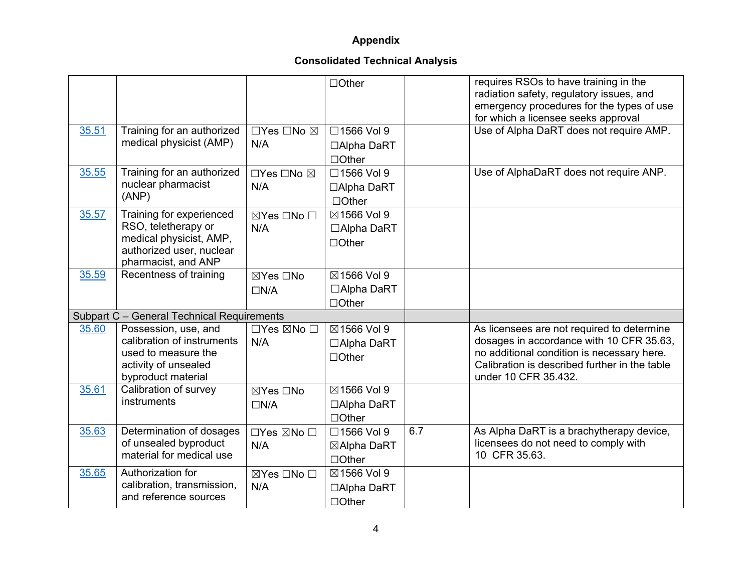|       |                                                                                                                               |                                         | $\Box$ Other                               |     | requires RSOs to have training in the<br>radiation safety, regulatory issues, and<br>emergency procedures for the types of use<br>for which a licensee seeks approval                                         |
|-------|-------------------------------------------------------------------------------------------------------------------------------|-----------------------------------------|--------------------------------------------|-----|---------------------------------------------------------------------------------------------------------------------------------------------------------------------------------------------------------------|
| 35.51 | Training for an authorized<br>medical physicist (AMP)                                                                         | $\Box$ Yes $\Box$ No $\boxtimes$<br>N/A | □1566 Vol 9<br>□Alpha DaRT<br>$\Box$ Other |     | Use of Alpha DaRT does not require AMP.                                                                                                                                                                       |
| 35.55 | Training for an authorized<br>nuclear pharmacist<br>(ANP)                                                                     | □Yes □No ⊠<br>N/A                       | □1566 Vol 9<br>□Alpha DaRT<br>$\Box$ Other |     | Use of AlphaDaRT does not require ANP.                                                                                                                                                                        |
| 35.57 | Training for experienced<br>RSO, teletherapy or<br>medical physicist, AMP,<br>authorized user, nuclear<br>pharmacist, and ANP | ⊠Yes □No □<br>N/A                       | ⊠1566 Vol 9<br>□Alpha DaRT<br>$\Box$ Other |     |                                                                                                                                                                                                               |
| 35.59 | Recentness of training                                                                                                        | ⊠Yes □No<br>$\Box N/A$                  | ⊠1566 Vol 9<br>□Alpha DaRT<br>$\Box$ Other |     |                                                                                                                                                                                                               |
|       | Subpart C - General Technical Requirements                                                                                    |                                         |                                            |     |                                                                                                                                                                                                               |
| 35.60 | Possession, use, and<br>calibration of instruments<br>used to measure the<br>activity of unsealed<br>byproduct material       | $\Box$ Yes $\boxtimes$ No $\Box$<br>N/A | ⊠1566 Vol 9<br>□Alpha DaRT<br>$\Box$ Other |     | As licensees are not required to determine<br>dosages in accordance with 10 CFR 35.63,<br>no additional condition is necessary here.<br>Calibration is described further in the table<br>under 10 CFR 35.432. |
| 35.61 | Calibration of survey<br>instruments                                                                                          | ⊠Yes □No<br>$\Box N/A$                  | ⊠1566 Vol 9<br>□Alpha DaRT<br>$\Box$ Other |     |                                                                                                                                                                                                               |
| 35.63 | Determination of dosages<br>of unsealed byproduct<br>material for medical use                                                 | □Yes ⊠No □<br>N/A                       | □1566 Vol 9<br>⊠Alpha DaRT<br>$\Box$ Other | 6.7 | As Alpha DaRT is a brachytherapy device,<br>licensees do not need to comply with<br>10 CFR 35.63.                                                                                                             |
| 35.65 | Authorization for<br>calibration, transmission,<br>and reference sources                                                      | ⊠Yes □No □<br>N/A                       | ⊠1566 Vol 9<br>□Alpha DaRT<br>$\Box$ Other |     |                                                                                                                                                                                                               |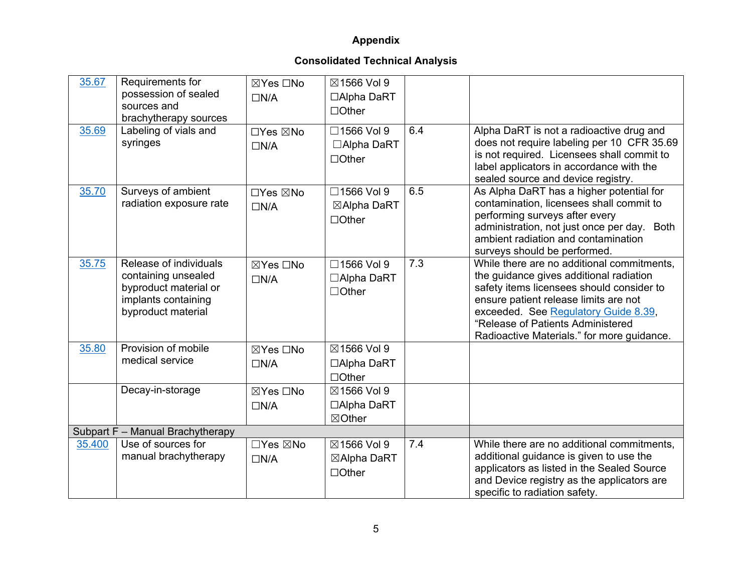| 35.67<br>35.69 | Requirements for<br>possession of sealed<br>sources and<br>brachytherapy sources<br>Labeling of vials and           | ⊠Yes □No<br>$\Box N/A$<br>□Yes ⊠No | ⊠1566 Vol 9<br>□Alpha DaRT<br>$\Box$ Other<br>□1566 Vol 9 | 6.4 | Alpha DaRT is not a radioactive drug and                                                                                                                                                                                                                                                               |
|----------------|---------------------------------------------------------------------------------------------------------------------|------------------------------------|-----------------------------------------------------------|-----|--------------------------------------------------------------------------------------------------------------------------------------------------------------------------------------------------------------------------------------------------------------------------------------------------------|
|                | syringes                                                                                                            | $\Box N/A$                         | □Alpha DaRT<br>$\Box$ Other                               |     | does not require labeling per 10 CFR 35.69<br>is not required. Licensees shall commit to<br>label applicators in accordance with the<br>sealed source and device registry.                                                                                                                             |
| 35.70          | Surveys of ambient<br>radiation exposure rate                                                                       | □Yes ⊠No<br>$\Box N/A$             | □1566 Vol 9<br>⊠Alpha DaRT<br>$\Box$ Other                | 6.5 | As Alpha DaRT has a higher potential for<br>contamination, licensees shall commit to<br>performing surveys after every<br>administration, not just once per day. Both<br>ambient radiation and contamination<br>surveys should be performed.                                                           |
| 35.75          | Release of individuals<br>containing unsealed<br>byproduct material or<br>implants containing<br>byproduct material | ⊠Yes □No<br>$\Box N/A$             | □1566 Vol 9<br>□Alpha DaRT<br>$\Box$ Other                | 7.3 | While there are no additional commitments,<br>the guidance gives additional radiation<br>safety items licensees should consider to<br>ensure patient release limits are not<br>exceeded. See Regulatory Guide 8.39,<br>"Release of Patients Administered<br>Radioactive Materials." for more guidance. |
| 35.80          | Provision of mobile<br>medical service                                                                              | ⊠Yes □No<br>$\Box N/A$             | ⊠1566 Vol 9<br>□Alpha DaRT<br>$\Box$ Other                |     |                                                                                                                                                                                                                                                                                                        |
|                | Decay-in-storage                                                                                                    | ⊠Yes □No<br>$\Box N/A$             | ⊠1566 Vol 9<br>□Alpha DaRT<br>$\boxtimes$ Other           |     |                                                                                                                                                                                                                                                                                                        |
|                | Subpart F - Manual Brachytherapy                                                                                    |                                    |                                                           |     |                                                                                                                                                                                                                                                                                                        |
| 35.400         | Use of sources for<br>manual brachytherapy                                                                          | □Yes ⊠No<br>$\Box N/A$             | ⊠1566 Vol 9<br>⊠Alpha DaRT<br>$\Box$ Other                | 7.4 | While there are no additional commitments,<br>additional guidance is given to use the<br>applicators as listed in the Sealed Source<br>and Device registry as the applicators are<br>specific to radiation safety.                                                                                     |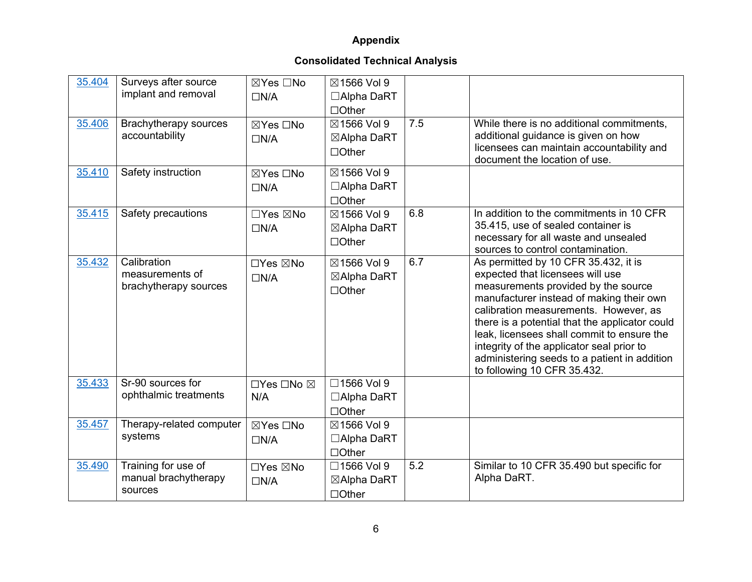| 35.404 | Surveys after source<br>implant and removal             | ⊠Yes □No<br>$\Box N/A$ | ⊠1566 Vol 9<br>□Alpha DaRT<br>$\Box$ Other       |     |                                                                                                                                                                                                                                                                                                                                                                                                                                  |
|--------|---------------------------------------------------------|------------------------|--------------------------------------------------|-----|----------------------------------------------------------------------------------------------------------------------------------------------------------------------------------------------------------------------------------------------------------------------------------------------------------------------------------------------------------------------------------------------------------------------------------|
| 35.406 | Brachytherapy sources<br>accountability                 | ⊠Yes □No<br>$\Box N/A$ | ⊠1566 Vol 9<br>⊠Alpha DaRT<br>$\Box$ Other       | 7.5 | While there is no additional commitments,<br>additional guidance is given on how<br>licensees can maintain accountability and<br>document the location of use.                                                                                                                                                                                                                                                                   |
| 35.410 | Safety instruction                                      | ⊠Yes □No<br>$\Box N/A$ | ⊠1566 Vol 9<br>□Alpha DaRT<br>$\Box$ Other       |     |                                                                                                                                                                                                                                                                                                                                                                                                                                  |
| 35.415 | Safety precautions                                      | □Yes ⊠No<br>$\Box N/A$ | ⊠1566 Vol 9<br>⊠Alpha DaRT<br>$\Box$ Other       | 6.8 | In addition to the commitments in 10 CFR<br>35.415, use of sealed container is<br>necessary for all waste and unsealed<br>sources to control contamination.                                                                                                                                                                                                                                                                      |
| 35.432 | Calibration<br>measurements of<br>brachytherapy sources | □Yes ⊠No<br>$\Box N/A$ | ⊠1566 Vol 9<br>⊠Alpha DaRT<br>$\Box$ Other       | 6.7 | As permitted by 10 CFR 35.432, it is<br>expected that licensees will use<br>measurements provided by the source<br>manufacturer instead of making their own<br>calibration measurements. However, as<br>there is a potential that the applicator could<br>leak, licensees shall commit to ensure the<br>integrity of the applicator seal prior to<br>administering seeds to a patient in addition<br>to following 10 CFR 35.432. |
| 35.433 | Sr-90 sources for<br>ophthalmic treatments              | □Yes □No ⊠<br>N/A      | □1566 Vol 9<br>$\Box$ Alpha DaRT<br>$\Box$ Other |     |                                                                                                                                                                                                                                                                                                                                                                                                                                  |
| 35.457 | Therapy-related computer<br>systems                     | ⊠Yes □No<br>$\Box N/A$ | ⊠1566 Vol 9<br>□Alpha DaRT<br>$\Box$ Other       |     |                                                                                                                                                                                                                                                                                                                                                                                                                                  |
| 35.490 | Training for use of<br>manual brachytherapy<br>sources  | □Yes ⊠No<br>$\Box N/A$ | □1566 Vol 9<br>⊠Alpha DaRT<br>$\Box$ Other       | 5.2 | Similar to 10 CFR 35.490 but specific for<br>Alpha DaRT.                                                                                                                                                                                                                                                                                                                                                                         |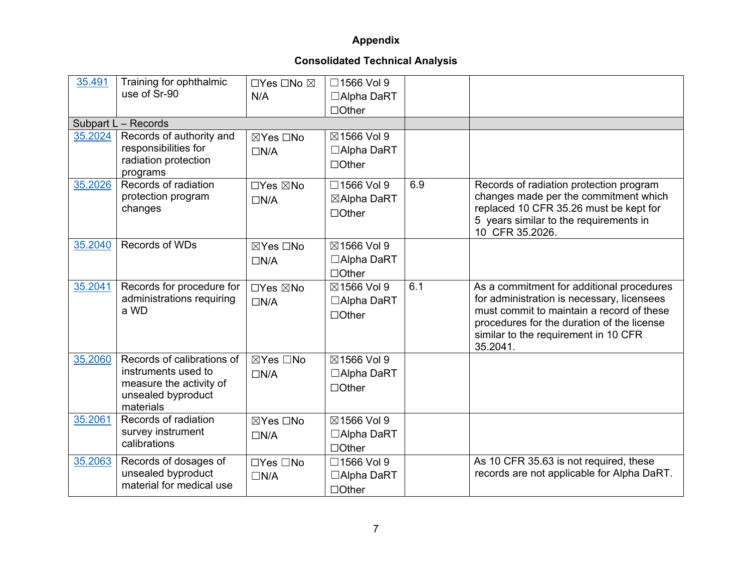| 35.491  | Training for ophthalmic<br>use of Sr-90                                                                         | □Yes □No ⊠<br>N/A      | □1566 Vol 9<br>□Alpha DaRT<br>$\Box$ Other |     |                                                                                                                                                                                                                                        |
|---------|-----------------------------------------------------------------------------------------------------------------|------------------------|--------------------------------------------|-----|----------------------------------------------------------------------------------------------------------------------------------------------------------------------------------------------------------------------------------------|
|         | Subpart L - Records                                                                                             |                        |                                            |     |                                                                                                                                                                                                                                        |
| 35.2024 | Records of authority and<br>responsibilities for<br>radiation protection<br>programs                            | ⊠Yes □No<br>$\Box N/A$ | ⊠1566 Vol 9<br>□Alpha DaRT<br>$\Box$ Other |     |                                                                                                                                                                                                                                        |
| 35.2026 | Records of radiation<br>protection program<br>changes                                                           | □Yes ⊠No<br>$\Box N/A$ | □1566 Vol 9<br>⊠Alpha DaRT<br>$\Box$ Other | 6.9 | Records of radiation protection program<br>changes made per the commitment which<br>replaced 10 CFR 35.26 must be kept for<br>5 years similar to the requirements in<br>10 CFR 35.2026.                                                |
| 35.2040 | Records of WDs                                                                                                  | ⊠Yes □No<br>$\Box N/A$ | ⊠1566 Vol 9<br>□Alpha DaRT<br>$\Box$ Other |     |                                                                                                                                                                                                                                        |
| 35.2041 | Records for procedure for<br>administrations requiring<br>a WD                                                  | □Yes ⊠No<br>$\Box N/A$ | ⊠1566 Vol 9<br>□Alpha DaRT<br>$\Box$ Other | 6.1 | As a commitment for additional procedures<br>for administration is necessary, licensees<br>must commit to maintain a record of these<br>procedures for the duration of the license<br>similar to the requirement in 10 CFR<br>35.2041. |
| 35.2060 | Records of calibrations of<br>instruments used to<br>measure the activity of<br>unsealed byproduct<br>materials | ⊠Yes □No<br>$\Box N/A$ | ⊠1566 Vol 9<br>□Alpha DaRT<br>$\Box$ Other |     |                                                                                                                                                                                                                                        |
| 35.2061 | Records of radiation<br>survey instrument<br>calibrations                                                       | ⊠Yes □No<br>$\Box N/A$ | ⊠1566 Vol 9<br>□Alpha DaRT<br>$\Box$ Other |     |                                                                                                                                                                                                                                        |
| 35.2063 | Records of dosages of<br>unsealed byproduct<br>material for medical use                                         | □Yes □No<br>$\Box N/A$ | □1566 Vol 9<br>□Alpha DaRT<br>$\Box$ Other |     | As 10 CFR 35.63 is not required, these<br>records are not applicable for Alpha DaRT.                                                                                                                                                   |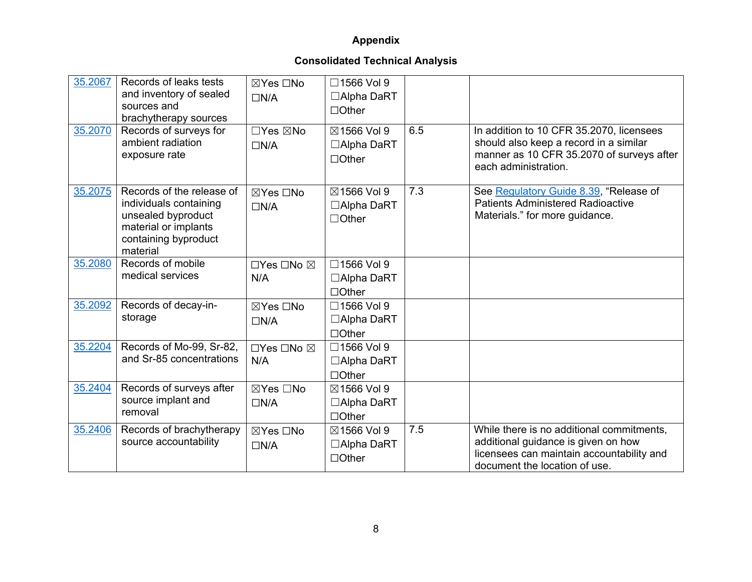| 35.2067 | Records of leaks tests<br>and inventory of sealed<br>sources and<br>brachytherapy sources                                             | ⊠Yes □No<br>$\Box N/A$ | □1566 Vol 9<br>□Alpha DaRT<br>$\Box$ Other       |     |                                                                                                                                                                |
|---------|---------------------------------------------------------------------------------------------------------------------------------------|------------------------|--------------------------------------------------|-----|----------------------------------------------------------------------------------------------------------------------------------------------------------------|
| 35.2070 | Records of surveys for<br>ambient radiation<br>exposure rate                                                                          | □Yes ⊠No<br>$\Box N/A$ | ⊠1566 Vol 9<br>□Alpha DaRT<br>$\Box$ Other       | 6.5 | In addition to 10 CFR 35.2070, licensees<br>should also keep a record in a similar<br>manner as 10 CFR 35.2070 of surveys after<br>each administration.        |
| 35.2075 | Records of the release of<br>individuals containing<br>unsealed byproduct<br>material or implants<br>containing byproduct<br>material | ⊠Yes □No<br>$\Box N/A$ | ⊠1566 Vol 9<br>$\Box$ Alpha DaRT<br>$\Box$ Other | 7.3 | See Regulatory Guide 8.39, "Release of<br><b>Patients Administered Radioactive</b><br>Materials." for more guidance.                                           |
| 35.2080 | Records of mobile<br>medical services                                                                                                 | □Yes □No ⊠<br>N/A      | □1566 Vol 9<br>$\Box$ Alpha DaRT<br>$\Box$ Other |     |                                                                                                                                                                |
| 35.2092 | Records of decay-in-<br>storage                                                                                                       | ⊠Yes □No<br>$\Box N/A$ | □1566 Vol 9<br>□Alpha DaRT<br>$\Box$ Other       |     |                                                                                                                                                                |
| 35.2204 | Records of Mo-99, Sr-82,<br>and Sr-85 concentrations                                                                                  | □Yes □No ⊠<br>N/A      | □1566 Vol 9<br>□Alpha DaRT<br>$\Box$ Other       |     |                                                                                                                                                                |
| 35.2404 | Records of surveys after<br>source implant and<br>removal                                                                             | ⊠Yes □No<br>$\Box N/A$ | ⊠1566 Vol 9<br>$\Box$ Alpha DaRT<br>$\Box$ Other |     |                                                                                                                                                                |
| 35.2406 | Records of brachytherapy<br>source accountability                                                                                     | ⊠Yes □No<br>$\Box N/A$ | ⊠1566 Vol 9<br>$\Box$ Alpha DaRT<br>$\Box$ Other | 7.5 | While there is no additional commitments,<br>additional guidance is given on how<br>licensees can maintain accountability and<br>document the location of use. |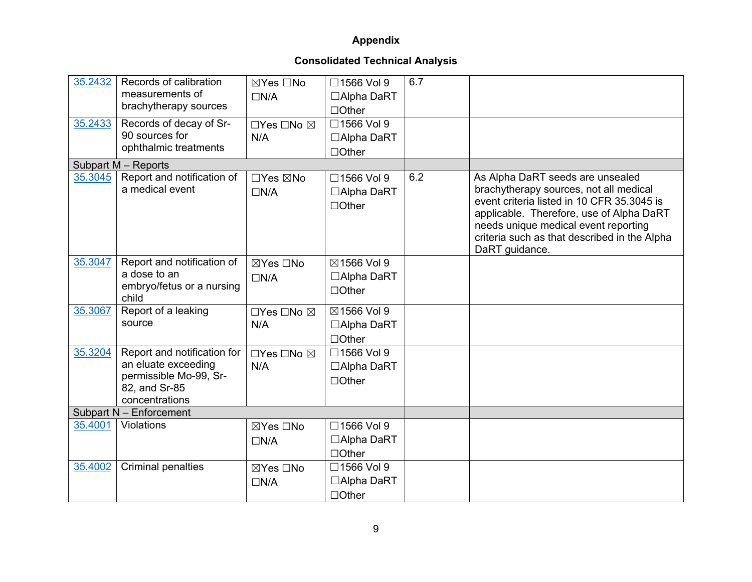| 35.2432 | Records of calibration<br>measurements of<br>brachytherapy sources                                              | ⊠Yes □No<br>$\Box N/A$ | □1566 Vol 9<br>□Alpha DaRT<br>$\Box$ Other | 6.7 |                                                                                                                                                                                                                                                                                |
|---------|-----------------------------------------------------------------------------------------------------------------|------------------------|--------------------------------------------|-----|--------------------------------------------------------------------------------------------------------------------------------------------------------------------------------------------------------------------------------------------------------------------------------|
| 35.2433 | Records of decay of Sr-<br>90 sources for<br>ophthalmic treatments                                              | □Yes □No ⊠<br>N/A      | □1566 Vol 9<br>□Alpha DaRT<br>$\Box$ Other |     |                                                                                                                                                                                                                                                                                |
|         | Subpart M - Reports                                                                                             |                        |                                            |     |                                                                                                                                                                                                                                                                                |
| 35.3045 | Report and notification of<br>a medical event                                                                   | □Yes ⊠No<br>$\Box N/A$ | □1566 Vol 9<br>□Alpha DaRT<br>$\Box$ Other | 6.2 | As Alpha DaRT seeds are unsealed<br>brachytherapy sources, not all medical<br>event criteria listed in 10 CFR 35.3045 is<br>applicable. Therefore, use of Alpha DaRT<br>needs unique medical event reporting<br>criteria such as that described in the Alpha<br>DaRT guidance. |
| 35.3047 | Report and notification of<br>a dose to an<br>embryo/fetus or a nursing<br>child                                | ⊠Yes □No<br>$\Box N/A$ | ⊠1566 Vol 9<br>□Alpha DaRT<br>$\Box$ Other |     |                                                                                                                                                                                                                                                                                |
| 35.3067 | Report of a leaking<br>source                                                                                   | □Yes □No ⊠<br>N/A      | ⊠1566 Vol 9<br>□Alpha DaRT<br>$\Box$ Other |     |                                                                                                                                                                                                                                                                                |
| 35.3204 | Report and notification for<br>an eluate exceeding<br>permissible Mo-99, Sr-<br>82, and Sr-85<br>concentrations | □Yes □No ⊠<br>N/A      | □1566 Vol 9<br>□Alpha DaRT<br>$\Box$ Other |     |                                                                                                                                                                                                                                                                                |
|         | Subpart N - Enforcement                                                                                         |                        |                                            |     |                                                                                                                                                                                                                                                                                |
| 35.4001 | <b>Violations</b>                                                                                               | ⊠Yes □No<br>$\Box N/A$ | □1566 Vol 9<br>□Alpha DaRT<br>$\Box$ Other |     |                                                                                                                                                                                                                                                                                |
| 35.4002 | <b>Criminal penalties</b>                                                                                       | ⊠Yes □No<br>$\Box N/A$ | □1566 Vol 9<br>□Alpha DaRT<br>$\Box$ Other |     |                                                                                                                                                                                                                                                                                |